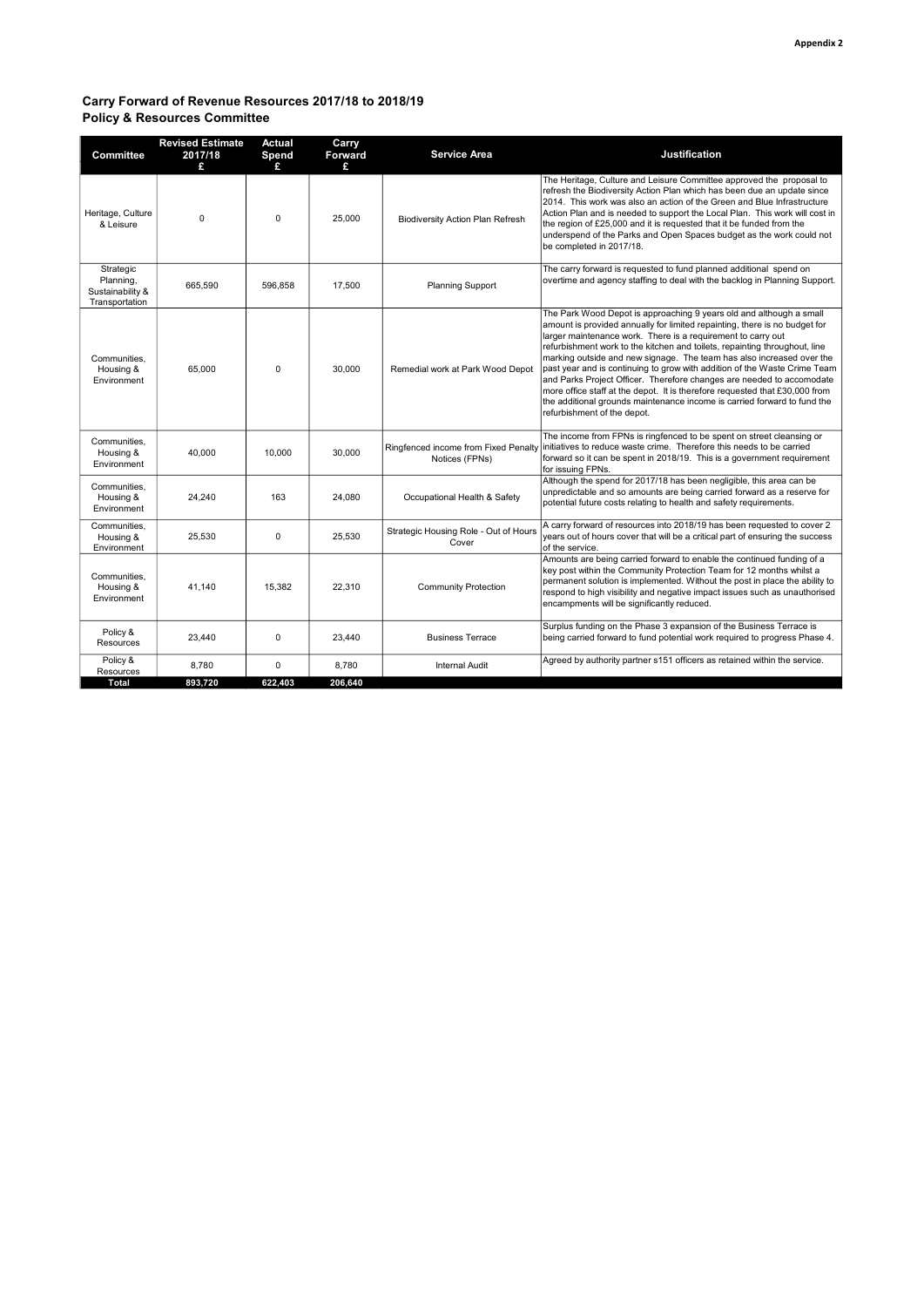## Carry Forward of Revenue Resources 2017/18 to 2018/19 Policy & Resources Committee

| The Heritage, Culture and Leisure Committee approved the proposal to<br>refresh the Biodiversity Action Plan which has been due an update since<br>2014. This work was also an action of the Green and Blue Infrastructure<br>Action Plan and is needed to support the Local Plan. This work will cost in<br>Heritage, Culture<br>$\Omega$<br>$\Omega$<br>25,000<br><b>Biodiversity Action Plan Refresh</b><br>the region of £25,000 and it is requested that it be funded from the<br>& Leisure<br>underspend of the Parks and Open Spaces budget as the work could not<br>be completed in 2017/18.<br>The carry forward is requested to fund planned additional spend on<br>Strategic<br>overtime and agency staffing to deal with the backlog in Planning Support.<br>Planning,<br>665,590<br>596.858<br>17.500<br><b>Planning Support</b><br>Sustainability &<br>Transportation<br>The Park Wood Depot is approaching 9 years old and although a small<br>amount is provided annually for limited repainting, there is no budget for<br>larger maintenance work. There is a requirement to carry out<br>refurbishment work to the kitchen and toilets, repainting throughout, line<br>marking outside and new signage. The team has also increased over the<br>Communities.<br>past year and is continuing to grow with addition of the Waste Crime Team<br>65,000<br>$\Omega$<br>30.000<br>Housing &<br>Remedial work at Park Wood Depot<br>and Parks Project Officer. Therefore changes are needed to accomodate<br>Environment<br>more office staff at the depot. It is therefore requested that £30,000 from<br>the additional grounds maintenance income is carried forward to fund the<br>refurbishment of the depot.<br>The income from FPNs is ringfenced to be spent on street cleansing or<br>Communities,<br>initiatives to reduce waste crime. Therefore this needs to be carried<br>Ringfenced income from Fixed Penalty<br>40.000<br>10.000<br>30.000<br>Housing &<br>forward so it can be spent in 2018/19. This is a government requirement<br>Notices (FPNs)<br>Environment<br>for issuing FPNs.<br>Although the spend for 2017/18 has been negligible, this area can be<br>Communities,<br>unpredictable and so amounts are being carried forward as a reserve for<br>24,240<br>163<br>24,080<br>Occupational Health & Safety<br>Housing &<br>potential future costs relating to health and safety requirements.<br>Environment<br>A carry forward of resources into 2018/19 has been requested to cover 2<br>Communities.<br>Strategic Housing Role - Out of Hours<br>$\mathbf 0$<br>25,530<br>25,530<br>years out of hours cover that will be a critical part of ensuring the success<br>Housing &<br>Cover<br>Environment<br>of the service.<br>Amounts are being carried forward to enable the continued funding of a<br>key post within the Community Protection Team for 12 months whilst a<br>Communities,<br>permanent solution is implemented. Without the post in place the ability to<br>22.310<br>41.140<br>15.382<br>Housing &<br><b>Community Protection</b><br>respond to high visibility and negative impact issues such as unauthorised<br>Environment<br>encampments will be significantly reduced.<br>Surplus funding on the Phase 3 expansion of the Business Terrace is<br>Policy &<br>23,440<br>$\Omega$<br>23,440<br>being carried forward to fund potential work required to progress Phase 4.<br><b>Business Terrace</b><br>Resources<br>Policy &<br>Agreed by authority partner s151 officers as retained within the service.<br>8,780<br>$\mathbf 0$<br>8,780<br><b>Internal Audit</b><br>Resources<br><b>Total</b><br>893,720<br>622,403<br>206,640 | Committee | <b>Revised Estimate</b><br>2017/18<br>£ | <b>Actual</b><br>Spend<br>£. | Carry<br>Forward<br>£ | <b>Service Area</b> | <b>Justification</b> |
|-------------------------------------------------------------------------------------------------------------------------------------------------------------------------------------------------------------------------------------------------------------------------------------------------------------------------------------------------------------------------------------------------------------------------------------------------------------------------------------------------------------------------------------------------------------------------------------------------------------------------------------------------------------------------------------------------------------------------------------------------------------------------------------------------------------------------------------------------------------------------------------------------------------------------------------------------------------------------------------------------------------------------------------------------------------------------------------------------------------------------------------------------------------------------------------------------------------------------------------------------------------------------------------------------------------------------------------------------------------------------------------------------------------------------------------------------------------------------------------------------------------------------------------------------------------------------------------------------------------------------------------------------------------------------------------------------------------------------------------------------------------------------------------------------------------------------------------------------------------------------------------------------------------------------------------------------------------------------------------------------------------------------------------------------------------------------------------------------------------------------------------------------------------------------------------------------------------------------------------------------------------------------------------------------------------------------------------------------------------------------------------------------------------------------------------------------------------------------------------------------------------------------------------------------------------------------------------------------------------------------------------------------------------------------------------------------------------------------------------------------------------------------------------------------------------------------------------------------------------------------------------------------------------------------------------------------------------------------------------------------------------------------------------------------------------------------------------------------------------------------------------------------------------------------------------------------------------------------------------------------------------------------------------------------------------------------------------------------------------------------------------------------------------------------------------------------------------------------------------------------------------------------------------------------------------------------------------------------------------------------------------------------------------------------------------------------------|-----------|-----------------------------------------|------------------------------|-----------------------|---------------------|----------------------|
|                                                                                                                                                                                                                                                                                                                                                                                                                                                                                                                                                                                                                                                                                                                                                                                                                                                                                                                                                                                                                                                                                                                                                                                                                                                                                                                                                                                                                                                                                                                                                                                                                                                                                                                                                                                                                                                                                                                                                                                                                                                                                                                                                                                                                                                                                                                                                                                                                                                                                                                                                                                                                                                                                                                                                                                                                                                                                                                                                                                                                                                                                                                                                                                                                                                                                                                                                                                                                                                                                                                                                                                                                                                                                                       |           |                                         |                              |                       |                     |                      |
|                                                                                                                                                                                                                                                                                                                                                                                                                                                                                                                                                                                                                                                                                                                                                                                                                                                                                                                                                                                                                                                                                                                                                                                                                                                                                                                                                                                                                                                                                                                                                                                                                                                                                                                                                                                                                                                                                                                                                                                                                                                                                                                                                                                                                                                                                                                                                                                                                                                                                                                                                                                                                                                                                                                                                                                                                                                                                                                                                                                                                                                                                                                                                                                                                                                                                                                                                                                                                                                                                                                                                                                                                                                                                                       |           |                                         |                              |                       |                     |                      |
|                                                                                                                                                                                                                                                                                                                                                                                                                                                                                                                                                                                                                                                                                                                                                                                                                                                                                                                                                                                                                                                                                                                                                                                                                                                                                                                                                                                                                                                                                                                                                                                                                                                                                                                                                                                                                                                                                                                                                                                                                                                                                                                                                                                                                                                                                                                                                                                                                                                                                                                                                                                                                                                                                                                                                                                                                                                                                                                                                                                                                                                                                                                                                                                                                                                                                                                                                                                                                                                                                                                                                                                                                                                                                                       |           |                                         |                              |                       |                     |                      |
|                                                                                                                                                                                                                                                                                                                                                                                                                                                                                                                                                                                                                                                                                                                                                                                                                                                                                                                                                                                                                                                                                                                                                                                                                                                                                                                                                                                                                                                                                                                                                                                                                                                                                                                                                                                                                                                                                                                                                                                                                                                                                                                                                                                                                                                                                                                                                                                                                                                                                                                                                                                                                                                                                                                                                                                                                                                                                                                                                                                                                                                                                                                                                                                                                                                                                                                                                                                                                                                                                                                                                                                                                                                                                                       |           |                                         |                              |                       |                     |                      |
|                                                                                                                                                                                                                                                                                                                                                                                                                                                                                                                                                                                                                                                                                                                                                                                                                                                                                                                                                                                                                                                                                                                                                                                                                                                                                                                                                                                                                                                                                                                                                                                                                                                                                                                                                                                                                                                                                                                                                                                                                                                                                                                                                                                                                                                                                                                                                                                                                                                                                                                                                                                                                                                                                                                                                                                                                                                                                                                                                                                                                                                                                                                                                                                                                                                                                                                                                                                                                                                                                                                                                                                                                                                                                                       |           |                                         |                              |                       |                     |                      |
|                                                                                                                                                                                                                                                                                                                                                                                                                                                                                                                                                                                                                                                                                                                                                                                                                                                                                                                                                                                                                                                                                                                                                                                                                                                                                                                                                                                                                                                                                                                                                                                                                                                                                                                                                                                                                                                                                                                                                                                                                                                                                                                                                                                                                                                                                                                                                                                                                                                                                                                                                                                                                                                                                                                                                                                                                                                                                                                                                                                                                                                                                                                                                                                                                                                                                                                                                                                                                                                                                                                                                                                                                                                                                                       |           |                                         |                              |                       |                     |                      |
|                                                                                                                                                                                                                                                                                                                                                                                                                                                                                                                                                                                                                                                                                                                                                                                                                                                                                                                                                                                                                                                                                                                                                                                                                                                                                                                                                                                                                                                                                                                                                                                                                                                                                                                                                                                                                                                                                                                                                                                                                                                                                                                                                                                                                                                                                                                                                                                                                                                                                                                                                                                                                                                                                                                                                                                                                                                                                                                                                                                                                                                                                                                                                                                                                                                                                                                                                                                                                                                                                                                                                                                                                                                                                                       |           |                                         |                              |                       |                     |                      |
|                                                                                                                                                                                                                                                                                                                                                                                                                                                                                                                                                                                                                                                                                                                                                                                                                                                                                                                                                                                                                                                                                                                                                                                                                                                                                                                                                                                                                                                                                                                                                                                                                                                                                                                                                                                                                                                                                                                                                                                                                                                                                                                                                                                                                                                                                                                                                                                                                                                                                                                                                                                                                                                                                                                                                                                                                                                                                                                                                                                                                                                                                                                                                                                                                                                                                                                                                                                                                                                                                                                                                                                                                                                                                                       |           |                                         |                              |                       |                     |                      |
|                                                                                                                                                                                                                                                                                                                                                                                                                                                                                                                                                                                                                                                                                                                                                                                                                                                                                                                                                                                                                                                                                                                                                                                                                                                                                                                                                                                                                                                                                                                                                                                                                                                                                                                                                                                                                                                                                                                                                                                                                                                                                                                                                                                                                                                                                                                                                                                                                                                                                                                                                                                                                                                                                                                                                                                                                                                                                                                                                                                                                                                                                                                                                                                                                                                                                                                                                                                                                                                                                                                                                                                                                                                                                                       |           |                                         |                              |                       |                     |                      |